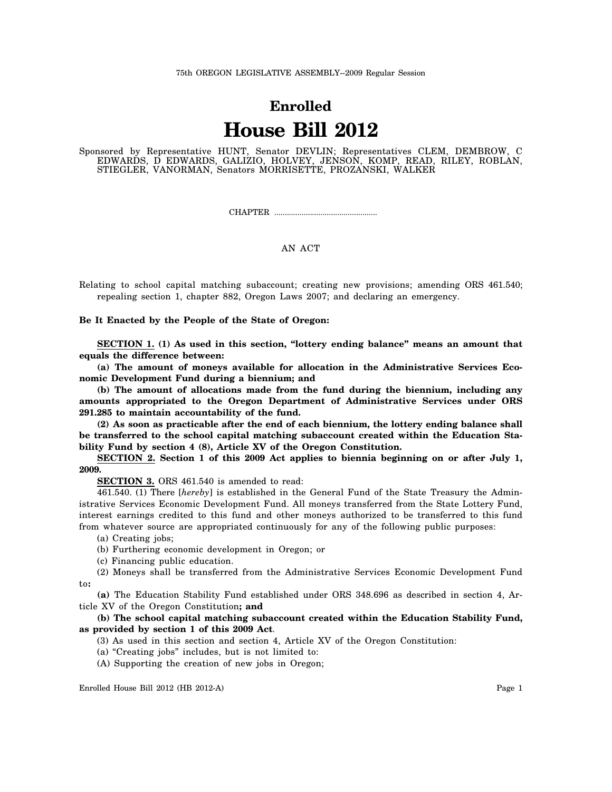## **Enrolled House Bill 2012**

Sponsored by Representative HUNT, Senator DEVLIN; Representatives CLEM, DEMBROW, C EDWARDS, D EDWARDS, GALIZIO, HOLVEY, JENSON, KOMP, READ, RILEY, ROBLAN, STIEGLER, VANORMAN, Senators MORRISETTE, PROZANSKI, WALKER

CHAPTER .................................................

## AN ACT

Relating to school capital matching subaccount; creating new provisions; amending ORS 461.540; repealing section 1, chapter 882, Oregon Laws 2007; and declaring an emergency.

**Be It Enacted by the People of the State of Oregon:**

**SECTION 1. (1) As used in this section, "lottery ending balance" means an amount that equals the difference between:**

**(a) The amount of moneys available for allocation in the Administrative Services Economic Development Fund during a biennium; and**

**(b) The amount of allocations made from the fund during the biennium, including any amounts appropriated to the Oregon Department of Administrative Services under ORS 291.285 to maintain accountability of the fund.**

**(2) As soon as practicable after the end of each biennium, the lottery ending balance shall be transferred to the school capital matching subaccount created within the Education Stability Fund by section 4 (8), Article XV of the Oregon Constitution.**

**SECTION 2. Section 1 of this 2009 Act applies to biennia beginning on or after July 1, 2009.**

**SECTION 3.** ORS 461.540 is amended to read:

461.540. (1) There [*hereby*] is established in the General Fund of the State Treasury the Administrative Services Economic Development Fund. All moneys transferred from the State Lottery Fund, interest earnings credited to this fund and other moneys authorized to be transferred to this fund from whatever source are appropriated continuously for any of the following public purposes:

(a) Creating jobs;

- (b) Furthering economic development in Oregon; or
- (c) Financing public education.

(2) Moneys shall be transferred from the Administrative Services Economic Development Fund to**:**

**(a)** The Education Stability Fund established under ORS 348.696 as described in section 4, Article XV of the Oregon Constitution**; and**

## **(b) The school capital matching subaccount created within the Education Stability Fund, as provided by section 1 of this 2009 Act**.

- (3) As used in this section and section 4, Article XV of the Oregon Constitution:
- (a) "Creating jobs" includes, but is not limited to:
- (A) Supporting the creation of new jobs in Oregon;

Enrolled House Bill 2012 (HB 2012-A) Page 1